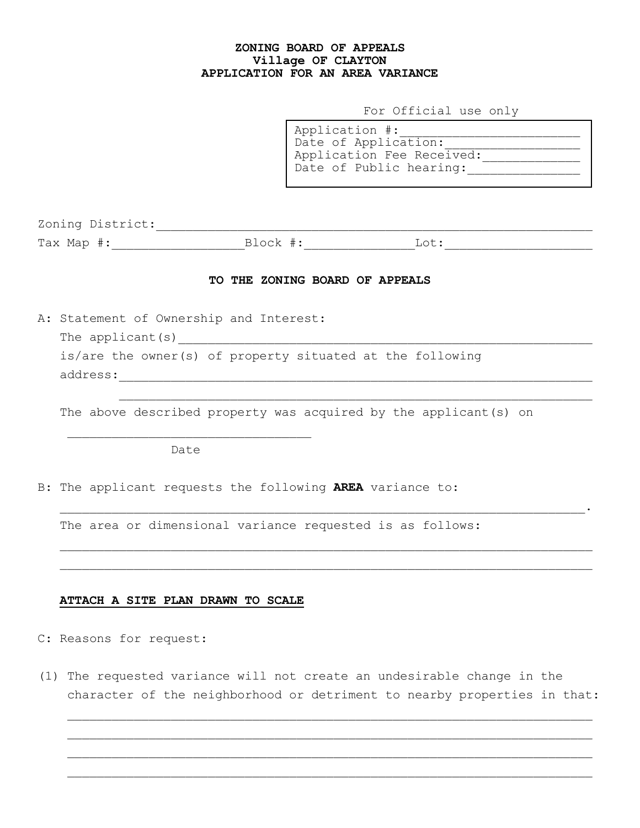## **ZONING BOARD OF APPEALS Village OF CLAYTON APPLICATION FOR AN AREA VARIANCE**

For Official use only

Application #:\_\_\_\_\_\_\_\_\_\_\_\_\_\_\_\_\_\_\_\_\_\_\_\_ Date of Application: Application Fee Received: Date of Public hearing:\_\_\_\_\_\_\_\_\_\_\_\_\_\_\_

| Zoning District:                                |          |
|-------------------------------------------------|----------|
| $Tay$ M<br>$\pm$ and $\rightarrow$<br>- - - - - | $\sim$ + |

## **TO THE ZONING BOARD OF APPEALS**

A: Statement of Ownership and Interest:

The applicant(s)

 is/are the owner(s) of property situated at the following address:

The above described property was acquired by the applicant(s) on

Date

B: The applicant requests the following **AREA** variance to:

The area or dimensional variance requested is as follows:

## **ATTACH A SITE PLAN DRAWN TO SCALE**

C: Reasons for request:

(1) The requested variance will not create an undesirable change in the character of the neighborhood or detriment to nearby properties in that:

 $\mathcal{L}=\mathcal{L}^{\mathcal{L}}$  , where  $\mathcal{L}^{\mathcal{L}}$  and  $\mathcal{L}^{\mathcal{L}}$  and  $\mathcal{L}^{\mathcal{L}}$  and  $\mathcal{L}^{\mathcal{L}}$  and  $\mathcal{L}^{\mathcal{L}}$